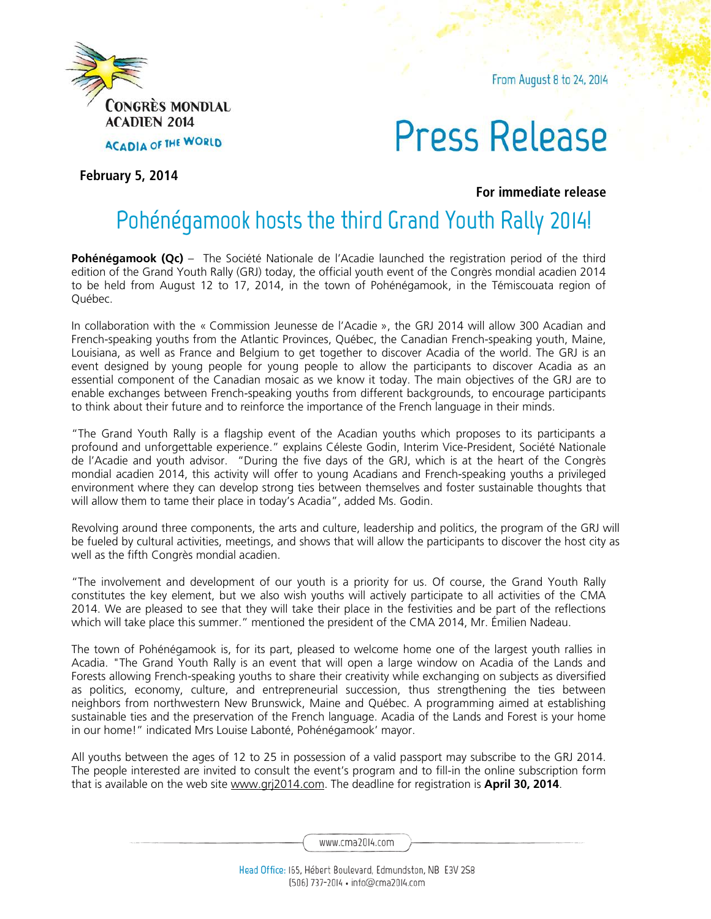

From August 8 to 24, 2014

## Press Release

**February 5, 2014**

**For immediate release**

## **Pohénégamook hosts the third Grand Youth Rally 2014!**

**Pohénégamook (Qc)** – The Société Nationale de l'Acadie launched the registration period of the third edition of the Grand Youth Rally (GRJ) today, the official youth event of the Congrès mondial acadien 2014 to be held from August 12 to 17, 2014, in the town of Pohénégamook, in the Témiscouata region of Québec.

In collaboration with the « Commission Jeunesse de l'Acadie », the GRJ 2014 will allow 300 Acadian and French-speaking youths from the Atlantic Provinces, Québec, the Canadian French-speaking youth, Maine, Louisiana, as well as France and Belgium to get together to discover Acadia of the world. The GRJ is an event designed by young people for young people to allow the participants to discover Acadia as an essential component of the Canadian mosaic as we know it today. The main objectives of the GRJ are to enable exchanges between French-speaking youths from different backgrounds, to encourage participants to think about their future and to reinforce the importance of the French language in their minds.

"The Grand Youth Rally is a flagship event of the Acadian youths which proposes to its participants a profound and unforgettable experience." explains Céleste Godin, Interim Vice-President, Société Nationale de l'Acadie and youth advisor. "During the five days of the GRJ, which is at the heart of the Congrès mondial acadien 2014, this activity will offer to young Acadians and French-speaking youths a privileged environment where they can develop strong ties between themselves and foster sustainable thoughts that will allow them to tame their place in today's Acadia", added Ms. Godin.

Revolving around three components, the arts and culture, leadership and politics, the program of the GRJ will be fueled by cultural activities, meetings, and shows that will allow the participants to discover the host city as well as the fifth Congrès mondial acadien.

"The involvement and development of our youth is a priority for us. Of course, the Grand Youth Rally constitutes the key element, but we also wish youths will actively participate to all activities of the CMA 2014. We are pleased to see that they will take their place in the festivities and be part of the reflections which will take place this summer." mentioned the president of the CMA 2014, Mr. Émilien Nadeau.

The town of Pohénégamook is, for its part, pleased to welcome home one of the largest youth rallies in Acadia. "The Grand Youth Rally is an event that will open a large window on Acadia of the Lands and Forests allowing French-speaking youths to share their creativity while exchanging on subjects as diversified as politics, economy, culture, and entrepreneurial succession, thus strengthening the ties between neighbors from northwestern New Brunswick, Maine and Québec. A programming aimed at establishing sustainable ties and the preservation of the French language. Acadia of the Lands and Forest is your home in our home!" indicated Mrs Louise Labonté, Pohénégamook' mayor.

All youths between the ages of 12 to 25 in possession of a valid passport may subscribe to the GRJ 2014. The people interested are invited to consult the event's program and to fill-in the online subscription form that is available on the web site www.grj2014.com. The deadline for registration is **April 30, 2014**.

www.cma2014.com